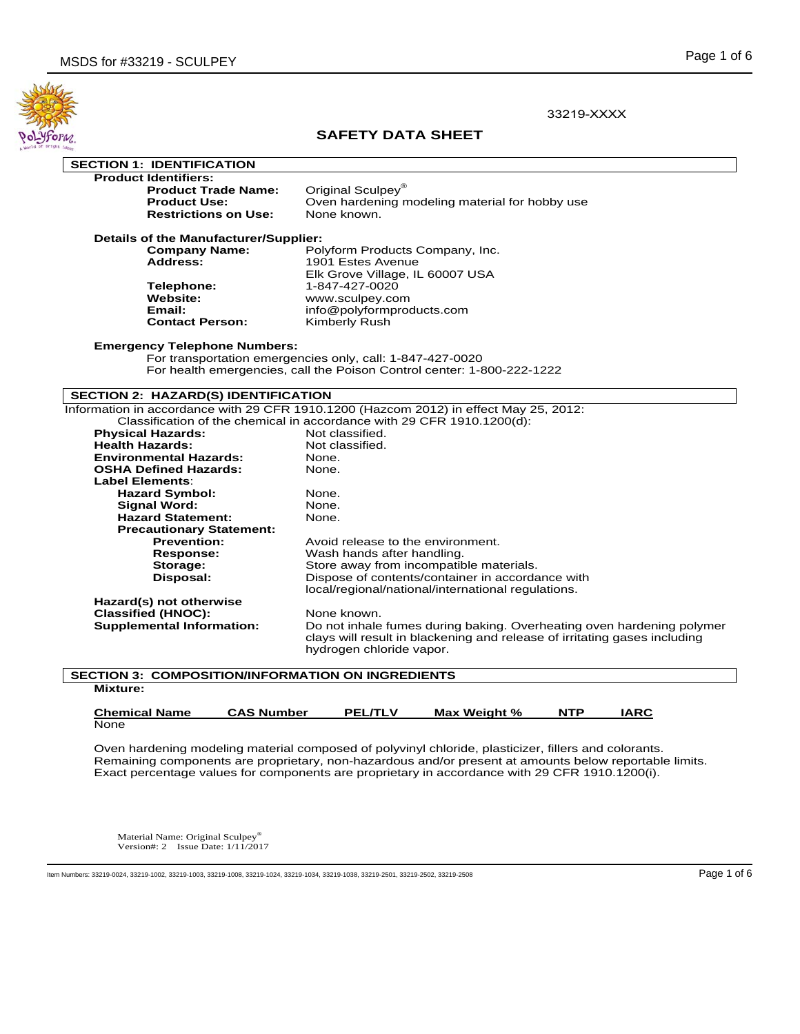

33219-XXXX

# **SAFETY DATA SHEET**

| <b>SECTION 1: IDENTIFICATION</b> |
|----------------------------------|
|                                  |

**Produc** 

| t Identifiers:              |  |
|-----------------------------|--|
| <b>Product Trade Name:</b>  |  |
| <b>Product Use:</b>         |  |
| <b>Restrictions on Use:</b> |  |

**Priginal Sculpey®** Oven hardening modeling material for hobby use<br>None known.

**Details of the Manufacturer/Supplier:**<br>Company Name: Po

| <b>Company Name:</b>   | Polyform Products Company, Inc. |
|------------------------|---------------------------------|
| <b>Address:</b>        | 1901 Estes Avenue               |
|                        | Elk Grove Village, IL 60007 USA |
| <b>Telephone:</b>      | 1-847-427-0020                  |
| <b>Website:</b>        | www.sculpey.com                 |
| Email:                 | info@polyformproducts.com       |
| <b>Contact Person:</b> | Kimberly Rush                   |
|                        |                                 |

## **Emergency Telephone Numbers:**

 For transportation emergencies only, call: 1-847-427-0020 For health emergencies, call the Poison Control center: 1-800-222-1222

# **SECTION 2: HAZARD(S) IDENTIFICATION**

| Information in accordance with 29 CFR 1910.1200 (Hazcom 2012) in effect May 25, 2012: |                                                                                                                                                                                |  |
|---------------------------------------------------------------------------------------|--------------------------------------------------------------------------------------------------------------------------------------------------------------------------------|--|
| Classification of the chemical in accordance with 29 CFR 1910.1200(d):                |                                                                                                                                                                                |  |
| <b>Physical Hazards:</b>                                                              | Not classified.                                                                                                                                                                |  |
| <b>Health Hazards:</b>                                                                | Not classified.                                                                                                                                                                |  |
| <b>Environmental Hazards:</b>                                                         | None.                                                                                                                                                                          |  |
| <b>OSHA Defined Hazards:</b>                                                          | None.                                                                                                                                                                          |  |
| <b>Label Elements:</b>                                                                |                                                                                                                                                                                |  |
| <b>Hazard Symbol:</b>                                                                 | None.                                                                                                                                                                          |  |
| <b>Signal Word:</b>                                                                   | None.                                                                                                                                                                          |  |
| <b>Hazard Statement:</b>                                                              | None.                                                                                                                                                                          |  |
| <b>Precautionary Statement:</b>                                                       |                                                                                                                                                                                |  |
| <b>Prevention:</b>                                                                    | Avoid release to the environment.                                                                                                                                              |  |
| <b>Response:</b>                                                                      | Wash hands after handling.                                                                                                                                                     |  |
| Storage:                                                                              | Store away from incompatible materials.                                                                                                                                        |  |
| Disposal:                                                                             | Dispose of contents/container in accordance with                                                                                                                               |  |
|                                                                                       | local/regional/national/international regulations.                                                                                                                             |  |
| Hazard(s) not otherwise                                                               |                                                                                                                                                                                |  |
| <b>Classified (HNOC):</b>                                                             | None known.                                                                                                                                                                    |  |
| <b>Supplemental Information:</b>                                                      | Do not inhale fumes during baking. Overheating oven hardening polymer<br>clays will result in blackening and release of irritating gases including<br>hydrogen chloride vapor. |  |
|                                                                                       |                                                                                                                                                                                |  |

## **SECTION 3: COMPOSITION/INFORMATION ON INGREDIENTS Mixture:**

| <b>Chemical Name</b> | <b>CAS Number</b> | <b>PEL/TLV</b> | Max Weight % | <b>NTP</b> | IARC. |
|----------------------|-------------------|----------------|--------------|------------|-------|
| None                 |                   |                |              |            |       |

Oven hardening modeling material composed of polyvinyl chloride, plasticizer, fillers and colorants. Remaining components are proprietary, non-hazardous and/or present at amounts below reportable limits. Exact percentage values for components are proprietary in accordance with 29 CFR 1910.1200(i).

Material Name: Original Sculpey® Version#: 2 Issue Date: 1/11/2017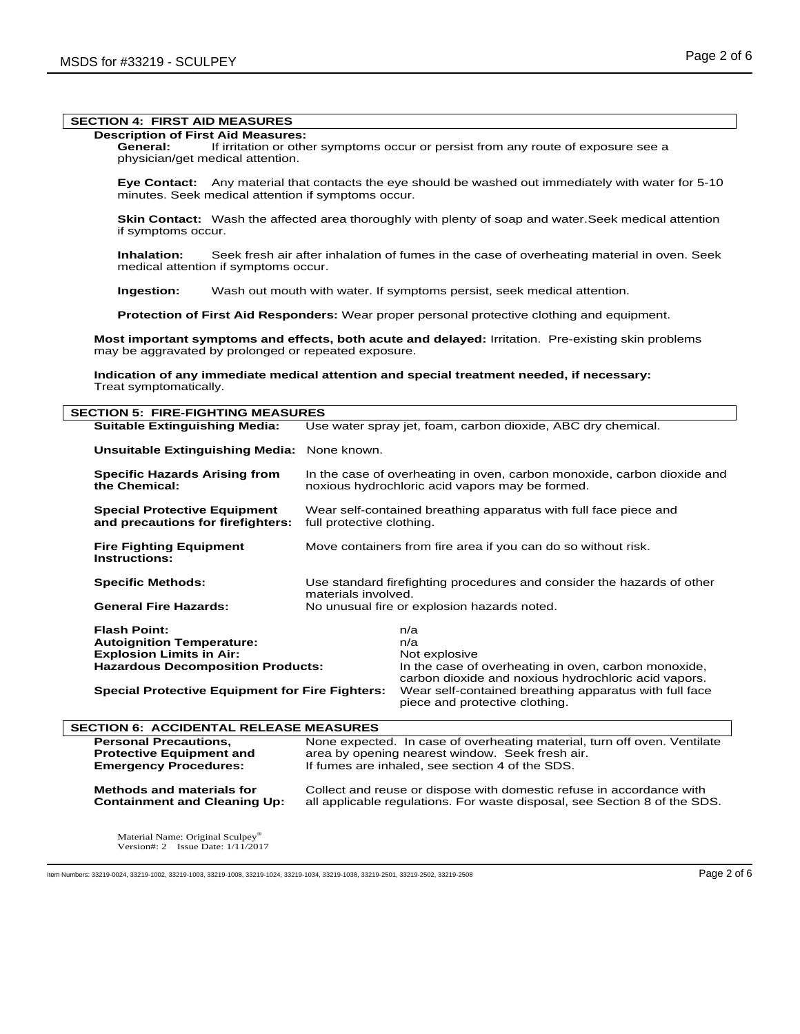# **SECTION 4: FIRST AID MEASURES**

# **Description of First Aid Measures:**

 **General:** If irritation or other symptoms occur or persist from any route of exposure see a physician/get medical attention.

 **Eye Contact:** Any material that contacts the eye should be washed out immediately with water for 5-10 minutes. Seek medical attention if symptoms occur.

**Skin Contact:** Wash the affected area thoroughly with plenty of soap and water. Seek medical attention if symptoms occur.

 **Inhalation:** Seek fresh air after inhalation of fumes in the case of overheating material in oven. Seek medical attention if symptoms occur.

 **Ingestion:** Wash out mouth with water. If symptoms persist, seek medical attention.

 **Protection of First Aid Responders:** Wear proper personal protective clothing and equipment.

**Most important symptoms and effects, both acute and delayed:** Irritation. Pre-existing skin problems may be aggravated by prolonged or repeated exposure.

**Indication of any immediate medical attention and special treatment needed, if necessary:** Treat symptomatically.

| <b>SECTION 5: FIRE-FIGHTING MEASURES</b>                                 |                                                                                                                            |  |
|--------------------------------------------------------------------------|----------------------------------------------------------------------------------------------------------------------------|--|
| <b>Suitable Extinguishing Media:</b>                                     | Use water spray jet, foam, carbon dioxide, ABC dry chemical.                                                               |  |
| Unsuitable Extinguishing Media:                                          | None known.                                                                                                                |  |
| <b>Specific Hazards Arising from</b><br>the Chemical:                    | In the case of overheating in oven, carbon monoxide, carbon dioxide and<br>noxious hydrochloric acid vapors may be formed. |  |
| <b>Special Protective Equipment</b><br>and precautions for firefighters: | Wear self-contained breathing apparatus with full face piece and<br>full protective clothing.                              |  |
| <b>Fire Fighting Equipment</b><br>Instructions:                          | Move containers from fire area if you can do so without risk.                                                              |  |
| <b>Specific Methods:</b>                                                 | Use standard firefighting procedures and consider the hazards of other<br>materials involved.                              |  |
| <b>General Fire Hazards:</b>                                             | No unusual fire or explosion hazards noted.                                                                                |  |
| <b>Flash Point:</b>                                                      | n/a                                                                                                                        |  |
| <b>Autoignition Temperature:</b>                                         | n/a                                                                                                                        |  |
| <b>Explosion Limits in Air:</b>                                          | Not explosive                                                                                                              |  |
| <b>Hazardous Decomposition Products:</b>                                 | In the case of overheating in oven, carbon monoxide,<br>carbon dioxide and noxious hydrochloric acid vapors.               |  |
| <b>Special Protective Equipment for Fire Fighters:</b>                   | Wear self-contained breathing apparatus with full face<br>piece and protective clothing.                                   |  |
| <b>SECTION 6: ACCIDENTAL RELEASE MEASURES</b>                            |                                                                                                                            |  |
| <b>Personal Precautions,</b>                                             | None expected. In case of overheating material, turn off oven. Ventilate                                                   |  |
| Desta atles Faulument and J                                              | ana a barangan tanggap ang ang mga salawang Canala Anggota. Sa                                                             |  |

**Protective Equipment and** area by opening nearest window. Seek fresh air.<br>**Emergency Procedures:** If fumes are inhaled, see section 4 of the SDS. If fumes are inhaled, see section 4 of the SDS.

**Methods and materials for** Collect and reuse or dispose with domestic refuse in accordance with **Containment and Cleaning Up:** all applicable regulations. For waste disposal, see Section 8 of the SDS.

Material Name: Original Sculpey® Version#: 2 Issue Date: 1/11/2017

Item Numbers: 33219-0024, 33219-1002, 33219-1003, 33219-1008, 33219-1024, 33219-1034, 33219-1038, 33219-2501, 33219-2501, 33219-2502, 33219-2502, 33219-2508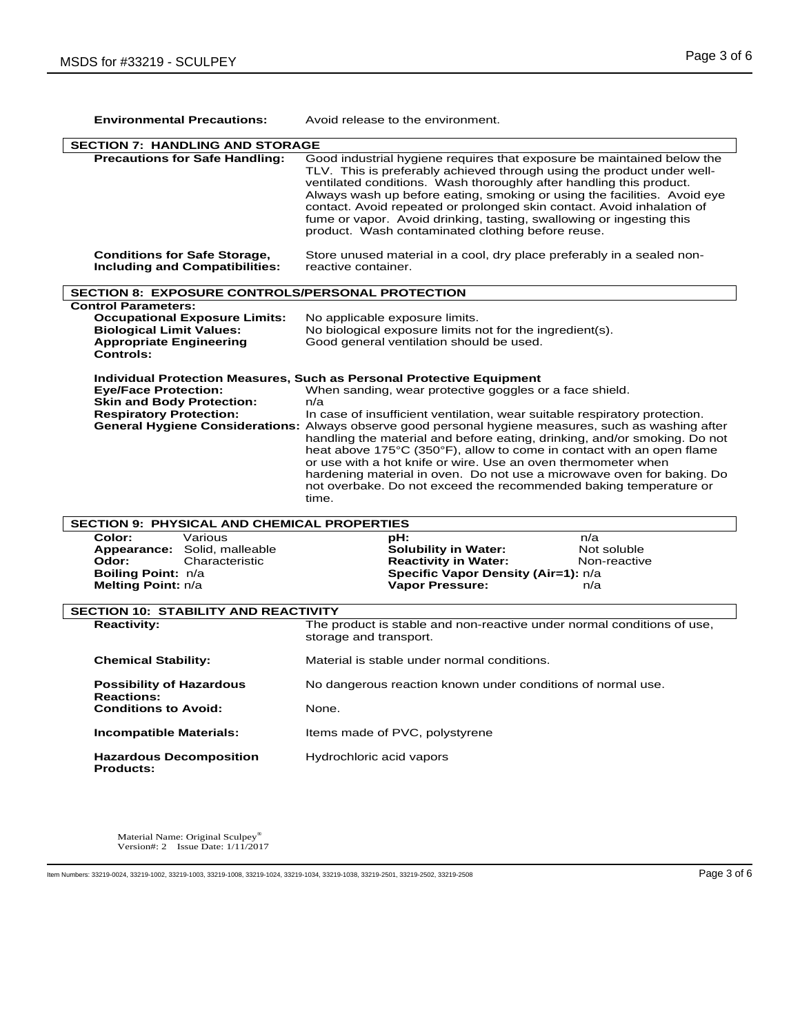| <b>Environmental Precautions:</b>                                                                                                                    | Avoid release to the environment.                                                                                                                                                                                                                                                                                                                                                                                                                                                                                                                                                                                                                                                                                   |  |
|------------------------------------------------------------------------------------------------------------------------------------------------------|---------------------------------------------------------------------------------------------------------------------------------------------------------------------------------------------------------------------------------------------------------------------------------------------------------------------------------------------------------------------------------------------------------------------------------------------------------------------------------------------------------------------------------------------------------------------------------------------------------------------------------------------------------------------------------------------------------------------|--|
| <b>SECTION 7: HANDLING AND STORAGE</b>                                                                                                               |                                                                                                                                                                                                                                                                                                                                                                                                                                                                                                                                                                                                                                                                                                                     |  |
| <b>Precautions for Safe Handling:</b>                                                                                                                | Good industrial hygiene requires that exposure be maintained below the<br>TLV. This is preferably achieved through using the product under well-<br>ventilated conditions. Wash thoroughly after handling this product.<br>Always wash up before eating, smoking or using the facilities. Avoid eye<br>contact. Avoid repeated or prolonged skin contact. Avoid inhalation of<br>fume or vapor. Avoid drinking, tasting, swallowing or ingesting this<br>product. Wash contaminated clothing before reuse.                                                                                                                                                                                                          |  |
| <b>Conditions for Safe Storage,</b><br><b>Including and Compatibilities:</b>                                                                         | Store unused material in a cool, dry place preferably in a sealed non-<br>reactive container.                                                                                                                                                                                                                                                                                                                                                                                                                                                                                                                                                                                                                       |  |
| <b>SECTION 8: EXPOSURE CONTROLS/PERSONAL PROTECTION</b>                                                                                              |                                                                                                                                                                                                                                                                                                                                                                                                                                                                                                                                                                                                                                                                                                                     |  |
| <b>Control Parameters:</b><br><b>Occupational Exposure Limits:</b><br><b>Biological Limit Values:</b><br><b>Appropriate Engineering</b><br>Controls: | No applicable exposure limits.<br>No biological exposure limits not for the ingredient(s).<br>Good general ventilation should be used.                                                                                                                                                                                                                                                                                                                                                                                                                                                                                                                                                                              |  |
| <b>Eye/Face Protection:</b><br>Skin and Body Protection:<br><b>Respiratory Protection:</b>                                                           | <b>Individual Protection Measures, Such as Personal Protective Equipment</b><br>When sanding, wear protective goggles or a face shield.<br>n/a<br>In case of insufficient ventilation, wear suitable respiratory protection.<br>General Hygiene Considerations: Always observe good personal hygiene measures, such as washing after<br>handling the material and before eating, drinking, and/or smoking. Do not<br>heat above 175°C (350°F), allow to come in contact with an open flame<br>or use with a hot knife or wire. Use an oven thermometer when<br>hardening material in oven. Do not use a microwave oven for baking. Do<br>not overbake. Do not exceed the recommended baking temperature or<br>time. |  |
| <b>SECTION 9: PHYSICAL AND CHEMICAL PROPERTIES</b>                                                                                                   |                                                                                                                                                                                                                                                                                                                                                                                                                                                                                                                                                                                                                                                                                                                     |  |
| Color:<br>Various<br>Appearance: Solid, malleable<br>Odor:<br>Characteristic<br>Boiling Point: n/a<br>Melting Point: n/a                             | pH:<br>n/a<br><b>Solubility in Water:</b><br>Not soluble<br><b>Reactivity in Water:</b><br>Non-reactive<br>Specific Vapor Density (Air=1): n/a<br><b>Vapor Pressure:</b><br>n/a                                                                                                                                                                                                                                                                                                                                                                                                                                                                                                                                     |  |
| <b>SECTION 10: STABILITY AND REACTIVITY</b>                                                                                                          |                                                                                                                                                                                                                                                                                                                                                                                                                                                                                                                                                                                                                                                                                                                     |  |
| <b>Reactivity:</b>                                                                                                                                   | The product is stable and non-reactive under normal conditions of use,<br>storage and transport.                                                                                                                                                                                                                                                                                                                                                                                                                                                                                                                                                                                                                    |  |
| <b>Chemical Stability:</b>                                                                                                                           | Material is stable under normal conditions.                                                                                                                                                                                                                                                                                                                                                                                                                                                                                                                                                                                                                                                                         |  |
| <b>Possibility of Hazardous</b><br><b>Reactions:</b><br><b>Conditions to Avoid:</b>                                                                  | No dangerous reaction known under conditions of normal use.<br>None.                                                                                                                                                                                                                                                                                                                                                                                                                                                                                                                                                                                                                                                |  |
| <b>Incompatible Materials:</b>                                                                                                                       | Items made of PVC, polystyrene                                                                                                                                                                                                                                                                                                                                                                                                                                                                                                                                                                                                                                                                                      |  |
| <b>Hazardous Decomposition</b><br><b>Products:</b>                                                                                                   | Hydrochloric acid vapors                                                                                                                                                                                                                                                                                                                                                                                                                                                                                                                                                                                                                                                                                            |  |

Material Name: Original Sculpey® Version#: 2 Issue Date: 1/11/2017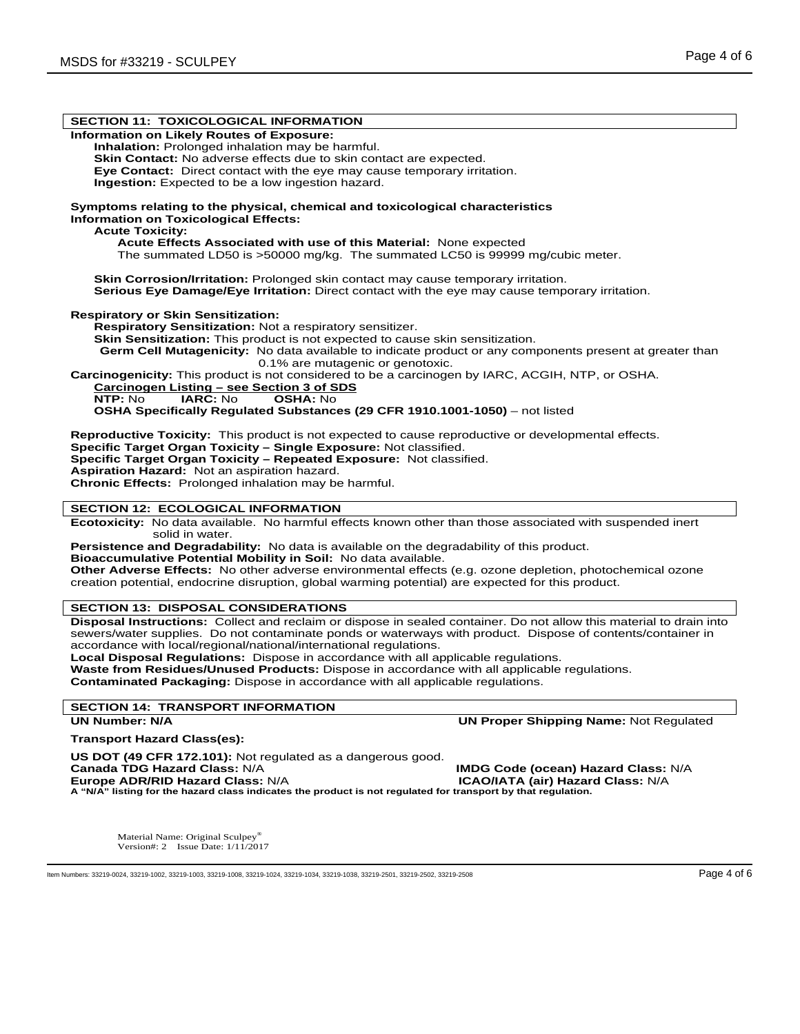| <b>SECTION 11: TOXICOLOGICAL INFORMATION</b>                                                                                                                                                                                                                                                                                                                                                                                                                                                                                                                                                                           |
|------------------------------------------------------------------------------------------------------------------------------------------------------------------------------------------------------------------------------------------------------------------------------------------------------------------------------------------------------------------------------------------------------------------------------------------------------------------------------------------------------------------------------------------------------------------------------------------------------------------------|
| Information on Likely Routes of Exposure:<br>Inhalation: Prolonged inhalation may be harmful.<br>Skin Contact: No adverse effects due to skin contact are expected.<br>Eye Contact: Direct contact with the eye may cause temporary irritation.<br>Ingestion: Expected to be a low ingestion hazard.                                                                                                                                                                                                                                                                                                                   |
| Symptoms relating to the physical, chemical and toxicological characteristics<br><b>Information on Toxicological Effects:</b><br><b>Acute Toxicity:</b><br>Acute Effects Associated with use of this Material: None expected<br>The summated LD50 is >50000 mg/kg. The summated LC50 is 99999 mg/cubic meter.                                                                                                                                                                                                                                                                                                          |
| Skin Corrosion/Irritation: Prolonged skin contact may cause temporary irritation.<br>Serious Eye Damage/Eye Irritation: Direct contact with the eye may cause temporary irritation.                                                                                                                                                                                                                                                                                                                                                                                                                                    |
| <b>Respiratory or Skin Sensitization:</b><br>Respiratory Sensitization: Not a respiratory sensitizer.<br>Skin Sensitization: This product is not expected to cause skin sensitization.<br>Germ Cell Mutagenicity: No data available to indicate product or any components present at greater than<br>0.1% are mutagenic or genotoxic.<br>Carcinogenicity: This product is not considered to be a carcinogen by IARC, ACGIH, NTP, or OSHA.<br>Carcinogen Listing - see Section 3 of SDS<br>NTP: No<br><b>IARC: No</b><br><b>OSHA: No</b><br>OSHA Specifically Regulated Substances (29 CFR 1910.1001-1050) - not listed |
| Reproductive Toxicity: This product is not expected to cause reproductive or developmental effects.<br>Specific Target Organ Toxicity - Single Exposure: Not classified.<br>Specific Target Organ Toxicity - Repeated Exposure: Not classified.<br>Aspiration Hazard: Not an aspiration hazard.<br>Chronic Effects: Prolonged inhalation may be harmful.                                                                                                                                                                                                                                                               |
| <b>SECTION 12: ECOLOGICAL INFORMATION</b>                                                                                                                                                                                                                                                                                                                                                                                                                                                                                                                                                                              |
| Ecotoxicity: No data available. No harmful effects known other than those associated with suspended inert<br>solid in water.<br>Persistence and Degradability: No data is available on the degradability of this product.<br>Bioaccumulative Potential Mobility in Soil: No data available.<br>Other Adverse Effects: No other adverse environmental effects (e.g. ozone depletion, photochemical ozone<br>creation potential, endocrine disruption, global warming potential) are expected for this product.                                                                                                          |
| <b>SECTION 13: DISPOSAL CONSIDERATIONS</b>                                                                                                                                                                                                                                                                                                                                                                                                                                                                                                                                                                             |
| Disposal Instructions: Collect and reclaim or dispose in sealed container. Do not allow this material to drain into<br>sewers/water supplies. Do not contaminate ponds or waterways with product. Dispose of contents/container in<br>accordance with local/regional/national/international regulations.<br>Local Disposal Regulations: Dispose in accordance with all applicable regulations.<br>Waste from Residues/Unused Products: Dispose in accordance with all applicable regulations.<br><b>Contaminated Packaging:</b> Dispose in accordance with all applicable regulations.                                 |
| <b>SECTION 14: TRANSPORT INFORMATION</b>                                                                                                                                                                                                                                                                                                                                                                                                                                                                                                                                                                               |
| <b>UN Number: N/A</b><br><b>UN Proper Shipping Name: Not Regulated</b>                                                                                                                                                                                                                                                                                                                                                                                                                                                                                                                                                 |
| Transport Hazard Class(es):                                                                                                                                                                                                                                                                                                                                                                                                                                                                                                                                                                                            |
| US DOT (49 CFR 172.101): Not regulated as a dangerous good.<br><b>Canada TDG Hazard Class: N/A</b><br><b>IMDG Code (ocean) Hazard Class: N/A</b><br>Europe ADR/RID Hazard Class: N/A<br><b>ICAO/IATA (air) Hazard Class: N/A</b><br>A "N/A" listing for the hazard class indicates the product is not regulated for transport by that regulation.                                                                                                                                                                                                                                                                      |

Material Name: Original Sculpey® Version#: 2 Issue Date: 1/11/2017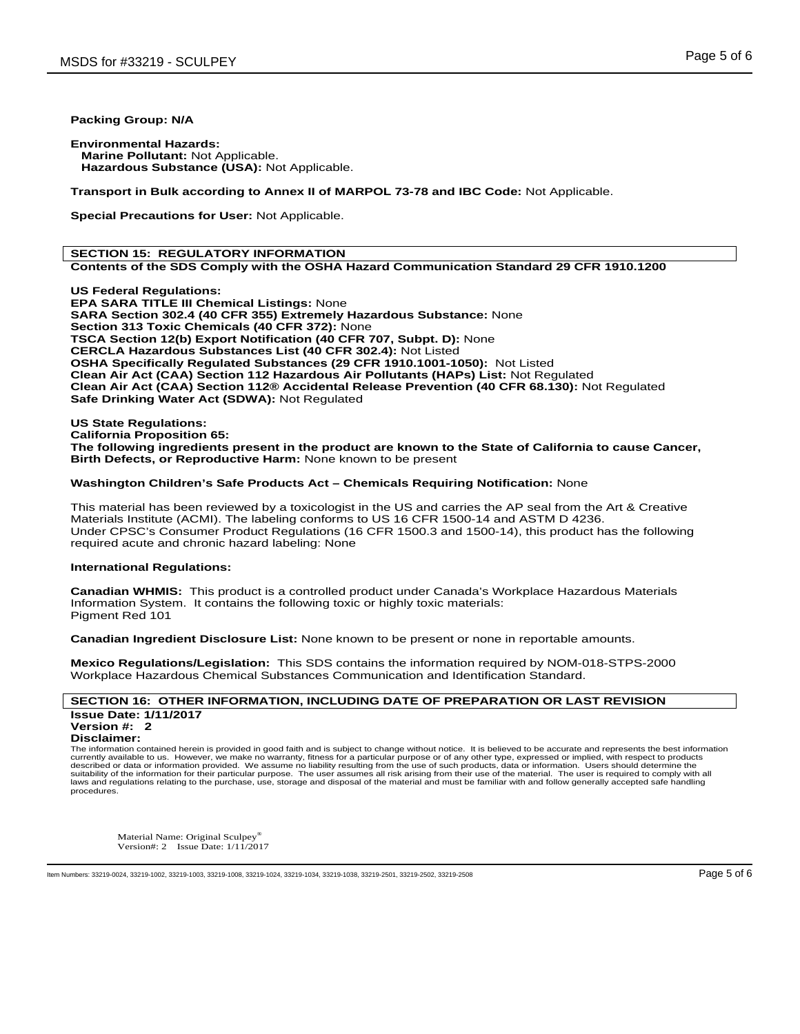# **Packing Group: N/A**

**Environmental Hazards: Marine Pollutant:** Not Applicable.  **Hazardous Substance (USA):** Not Applicable.

**Transport in Bulk according to Annex II of MARPOL 73-78 and IBC Code:** Not Applicable.

**Special Precautions for User:** Not Applicable.

## **SECTION 15: REGULATORY INFORMATION Contents of the SDS Comply with the OSHA Hazard Communication Standard 29 CFR 1910.1200**

**US Federal Regulations: EPA SARA TITLE III Chemical Listings:** None **SARA Section 302.4 (40 CFR 355) Extremely Hazardous Substance:** None **Section 313 Toxic Chemicals (40 CFR 372):** None **TSCA Section 12(b) Export Notification (40 CFR 707, Subpt. D):** None **CERCLA Hazardous Substances List (40 CFR 302.4):** Not Listed **OSHA Specifically Regulated Substances (29 CFR 1910.1001-1050):** Not Listed **Clean Air Act (CAA) Section 112 Hazardous Air Pollutants (HAPs) List:** Not Regulated **Clean Air Act (CAA) Section 112® Accidental Release Prevention (40 CFR 68.130):** Not Regulated **Safe Drinking Water Act (SDWA):** Not Regulated

**US State Regulations: California Proposition 65: The following ingredients present in the product are known to the State of California to cause Cancer, Birth Defects, or Reproductive Harm:** None known to be present

# **Washington Children's Safe Products Act – Chemicals Requiring Notification:** None

This material has been reviewed by a toxicologist in the US and carries the AP seal from the Art & Creative Materials Institute (ACMI). The labeling conforms to US 16 CFR 1500-14 and ASTM D 4236. Under CPSC's Consumer Product Regulations (16 CFR 1500.3 and 1500-14), this product has the following required acute and chronic hazard labeling: None

## **International Regulations:**

**Canadian WHMIS:** This product is a controlled product under Canada's Workplace Hazardous Materials Information System. It contains the following toxic or highly toxic materials: Pigment Red 101

**Canadian Ingredient Disclosure List:** None known to be present or none in reportable amounts.

**Mexico Regulations/Legislation:** This SDS contains the information required by NOM-018-STPS-2000 Workplace Hazardous Chemical Substances Communication and Identification Standard.

# **SECTION 16: OTHER INFORMATION, INCLUDING DATE OF PREPARATION OR LAST REVISION Issue Date: 1/11/2017 Version #: 2**

#### **Disclaimer:**

The information contained herein is provided in good faith and is subject to change without notice. It is believed to be accurate and represents the best information currently available to us. However, we make no warranty, fitness for a particular purpose or of any other type, expressed or implied, with respect to products described or data or information provided. We assume no liability resulting from the use of such products, data or information. Users should determine the<br>suitability of the information for their particular purpose. The us laws and regulations relating to the purchase, use, storage and disposal of the material and must be familiar with and follow generally accepted safe handling procedures.

Material Name: Original Sculpey Version#: 2 Issue Date: 1/11/2017